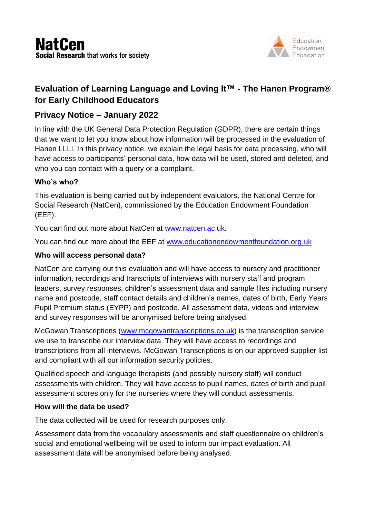

# **Evaluation of Learning Language and Loving It™ - The Hanen Program® for Early Childhood Educators**

## **Privacy Notice – January 2022**

In line with the UK General Data Protection Regulation (GDPR), there are certain things that we want to let you know about how information will be processed in the evaluation of Hanen LLLI. In this privacy notice, we explain the legal basis for data processing, who will have access to participants' personal data, how data will be used, stored and deleted, and who you can contact with a query or a complaint.

## **Who's who?**

This evaluation is being carried out by independent evaluators, the National Centre for Social Research (NatCen), commissioned by the Education Endowment Foundation (EEF).

You can find out more about NatCen at [www.natcen.ac.uk.](file://///homerfp01/data/Workdocs/P14012%20Hanen%20LLLI%20Main%20Trial/3.%20Recruitment/2.%20NatCen%20recruitment%20materials/1.%20Privacy%20notice/www.natcen.ac.uk)

You can find out more about the EEF at [www.educationendowmentfoundation.org.uk](http://www.educationendowmentfoundation.org.uk/)

#### **Who will access personal data?**

NatCen are carrying out this evaluation and will have access to nursery and practitioner information, recordings and transcripts of interviews with nursery staff and program leaders, survey responses, children's assessment data and sample files including nursery name and postcode, staff contact details and children's names, dates of birth, Early Years Pupil Premium status (EYPP) and postcode. All assessment data, videos and interview and survey responses will be anonymised before being analysed.

McGowan Transcriptions [\(www.mcgowantranscriptions.co.uk\)](http://www.mcgowantranscriptions.co.uk/) is the transcription service we use to transcribe our interview data. They will have access to recordings and transcriptions from all interviews. McGowan Transcriptions is on our approved supplier list and compliant with all our information security policies.

Qualified speech and language therapists (and possibly nursery staff) will conduct assessments with children. They will have access to pupil names, dates of birth and pupil assessment scores only for the nurseries where they will conduct assessments.

#### **How will the data be used?**

The data collected will be used for research purposes only.

Assessment data from the vocabulary assessments and staff questionnaire on children's social and emotional wellbeing will be used to inform our impact evaluation. All assessment data will be anonymised before being analysed.